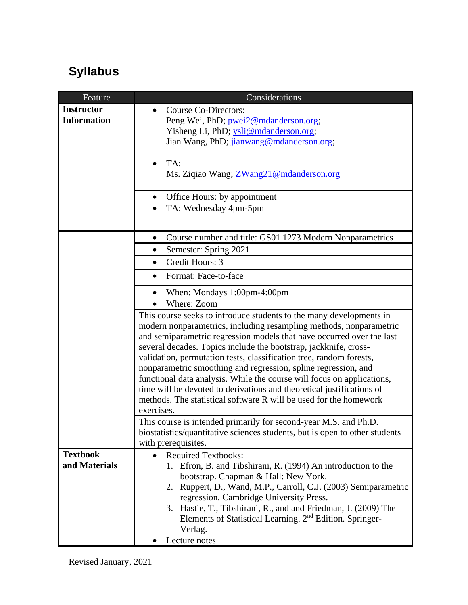## **Syllabus**

| Feature            | Considerations                                                                                                                             |
|--------------------|--------------------------------------------------------------------------------------------------------------------------------------------|
| <b>Instructor</b>  | Course Co-Directors:                                                                                                                       |
| <b>Information</b> | Peng Wei, PhD; pwei2@mdanderson.org;                                                                                                       |
|                    | Yisheng Li, PhD; ysli@mdanderson.org;                                                                                                      |
|                    | Jian Wang, PhD; jianwang@mdanderson.org;                                                                                                   |
|                    |                                                                                                                                            |
|                    | TA:<br>$\bullet$                                                                                                                           |
|                    | Ms. Ziqiao Wang; ZWang21@mdanderson.org                                                                                                    |
|                    |                                                                                                                                            |
|                    | Office Hours: by appointment<br>٠                                                                                                          |
|                    | TA: Wednesday 4pm-5pm                                                                                                                      |
|                    |                                                                                                                                            |
|                    | Course number and title: GS01 1273 Modern Nonparametrics<br>$\bullet$                                                                      |
|                    | Semester: Spring 2021<br>$\bullet$                                                                                                         |
|                    | Credit Hours: 3<br>$\bullet$                                                                                                               |
|                    | Format: Face-to-face<br>$\bullet$                                                                                                          |
|                    | When: Mondays 1:00pm-4:00pm<br>$\bullet$                                                                                                   |
|                    | Where: Zoom                                                                                                                                |
|                    | This course seeks to introduce students to the many developments in                                                                        |
|                    | modern nonparametrics, including resampling methods, nonparametric                                                                         |
|                    | and semiparametric regression models that have occurred over the last                                                                      |
|                    | several decades. Topics include the bootstrap, jackknife, cross-                                                                           |
|                    | validation, permutation tests, classification tree, random forests,                                                                        |
|                    | nonparametric smoothing and regression, spline regression, and                                                                             |
|                    | functional data analysis. While the course will focus on applications,                                                                     |
|                    | time will be devoted to derivations and theoretical justifications of<br>methods. The statistical software R will be used for the homework |
|                    | exercises.                                                                                                                                 |
|                    | This course is intended primarily for second-year M.S. and Ph.D.                                                                           |
|                    | biostatistics/quantitative sciences students, but is open to other students                                                                |
|                    | with prerequisites.                                                                                                                        |
| <b>Textbook</b>    | <b>Required Textbooks:</b><br>$\bullet$                                                                                                    |
| and Materials      | 1. Efron, B. and Tibshirani, R. (1994) An introduction to the                                                                              |
|                    | bootstrap. Chapman & Hall: New York.                                                                                                       |
|                    | 2. Ruppert, D., Wand, M.P., Carroll, C.J. (2003) Semiparametric                                                                            |
|                    | regression. Cambridge University Press.                                                                                                    |
|                    | 3. Hastie, T., Tibshirani, R., and and Friedman, J. (2009) The                                                                             |
|                    | Elements of Statistical Learning. 2 <sup>nd</sup> Edition. Springer-                                                                       |
|                    | Verlag.                                                                                                                                    |
|                    | Lecture notes                                                                                                                              |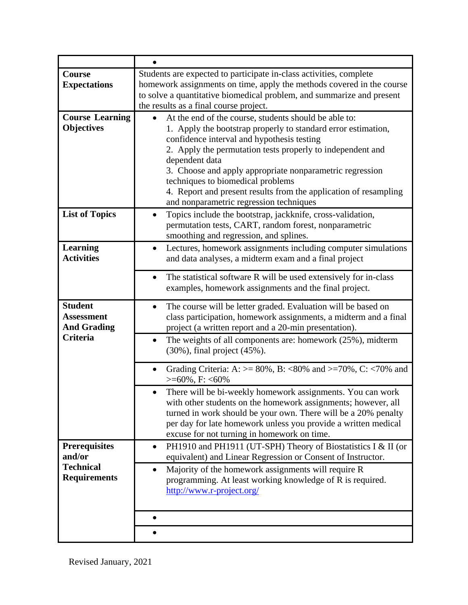| Course                 | Students are expected to participate in-class activities, complete                                          |
|------------------------|-------------------------------------------------------------------------------------------------------------|
| <b>Expectations</b>    | homework assignments on time, apply the methods covered in the course                                       |
|                        | to solve a quantitative biomedical problem, and summarize and present                                       |
|                        | the results as a final course project.                                                                      |
| <b>Course Learning</b> | At the end of the course, students should be able to:<br>$\bullet$                                          |
| <b>Objectives</b>      | 1. Apply the bootstrap properly to standard error estimation,                                               |
|                        | confidence interval and hypothesis testing                                                                  |
|                        | 2. Apply the permutation tests properly to independent and                                                  |
|                        | dependent data                                                                                              |
|                        | 3. Choose and apply appropriate nonparametric regression                                                    |
|                        | techniques to biomedical problems                                                                           |
|                        | 4. Report and present results from the application of resampling<br>and nonparametric regression techniques |
| <b>List of Topics</b>  | Topics include the bootstrap, jackknife, cross-validation,                                                  |
|                        | $\bullet$<br>permutation tests, CART, random forest, nonparametric                                          |
|                        | smoothing and regression, and splines.                                                                      |
| <b>Learning</b>        | Lectures, homework assignments including computer simulations<br>$\bullet$                                  |
| <b>Activities</b>      | and data analyses, a midterm exam and a final project                                                       |
|                        |                                                                                                             |
|                        | The statistical software R will be used extensively for in-class<br>$\bullet$                               |
|                        | examples, homework assignments and the final project.                                                       |
| <b>Student</b>         | The course will be letter graded. Evaluation will be based on<br>$\bullet$                                  |
| <b>Assessment</b>      | class participation, homework assignments, a midterm and a final                                            |
| <b>And Grading</b>     | project (a written report and a 20-min presentation).                                                       |
| <b>Criteria</b>        | The weights of all components are: homework $(25\%)$ , midterm<br>$\bullet$                                 |
|                        | $(30\%)$ , final project $(45\%)$ .                                                                         |
|                        |                                                                                                             |
|                        | Grading Criteria: A: $> = 80\%$ , B: <80% and >=70%, C: <70% and<br>$\bullet$<br>$>= 60\%$ , F: <60%        |
|                        | There will be bi-weekly homework assignments. You can work<br>$\bullet$                                     |
|                        | with other students on the homework assignments; however, all                                               |
|                        | turned in work should be your own. There will be a 20% penalty                                              |
|                        | per day for late homework unless you provide a written medical                                              |
|                        | excuse for not turning in homework on time.                                                                 |
| <b>Prerequisites</b>   | PH1910 and PH1911 (UT-SPH) Theory of Biostatistics I & II (or<br>$\bullet$                                  |
| and/or                 | equivalent) and Linear Regression or Consent of Instructor.                                                 |
| <b>Technical</b>       | Majority of the homework assignments will require R<br>$\bullet$                                            |
| <b>Requirements</b>    | programming. At least working knowledge of R is required.                                                   |
|                        | http://www.r-project.org/                                                                                   |
|                        |                                                                                                             |
|                        | $\bullet$                                                                                                   |
|                        |                                                                                                             |
|                        |                                                                                                             |